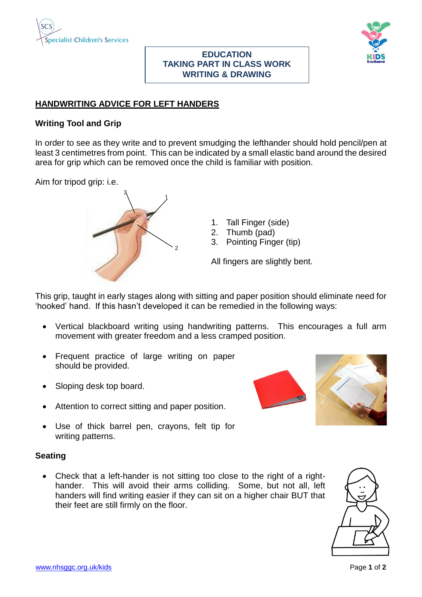



## **EDUCATION TAKING PART IN CLASS WORK WRITING & DRAWING**

# **HANDWRITING ADVICE FOR LEFT HANDERS**

## **Writing Tool and Grip**

In order to see as they write and to prevent smudging the lefthander should hold pencil/pen at least 3 centimetres from point. This can be indicated by a small elastic band around the desired area for grip which can be removed once the child is familiar with position.

Aim for tripod grip: i.e.



- 1. Tall Finger (side)
- 2. Thumb (pad)
- 3. Pointing Finger (tip)

All fingers are slightly bent.

This grip, taught in early stages along with sitting and paper position should eliminate need for 'hooked' hand. If this hasn't developed it can be remedied in the following ways:

- Vertical blackboard writing using handwriting patterns. This encourages a full arm movement with greater freedom and a less cramped position.
- Frequent practice of large writing on paper should be provided.
- Sloping desk top board.
- Attention to correct sitting and paper position.
- Use of thick barrel pen, crayons, felt tip for writing patterns.

## **Seating**

• Check that a left-hander is not sitting too close to the right of a righthander. This will avoid their arms colliding. Some, but not all, left handers will find writing easier if they can sit on a higher chair BUT that their feet are still firmly on the floor.